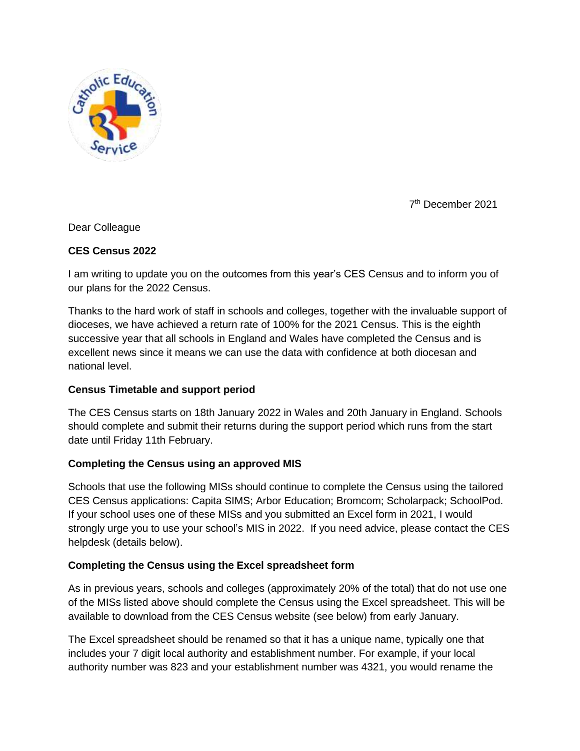

7 th December 2021

Dear Colleague

## **CES Census 2022**

I am writing to update you on the outcomes from this year's CES Census and to inform you of our plans for the 2022 Census.

Thanks to the hard work of staff in schools and colleges, together with the invaluable support of dioceses, we have achieved a return rate of 100% for the 2021 Census. This is the eighth successive year that all schools in England and Wales have completed the Census and is excellent news since it means we can use the data with confidence at both diocesan and national level.

## **Census Timetable and support period**

The CES Census starts on 18th January 2022 in Wales and 20th January in England. Schools should complete and submit their returns during the support period which runs from the start date until Friday 11th February.

#### **Completing the Census using an approved MIS**

Schools that use the following MISs should continue to complete the Census using the tailored CES Census applications: Capita SIMS; Arbor Education; Bromcom; Scholarpack; SchoolPod. If your school uses one of these MISs and you submitted an Excel form in 2021, I would strongly urge you to use your school's MIS in 2022. If you need advice, please contact the CES helpdesk (details below).

#### **Completing the Census using the Excel spreadsheet form**

As in previous years, schools and colleges (approximately 20% of the total) that do not use one of the MISs listed above should complete the Census using the Excel spreadsheet. This will be available to download from the CES Census website (see below) from early January.

The Excel spreadsheet should be renamed so that it has a unique name, typically one that includes your 7 digit local authority and establishment number. For example, if your local authority number was 823 and your establishment number was 4321, you would rename the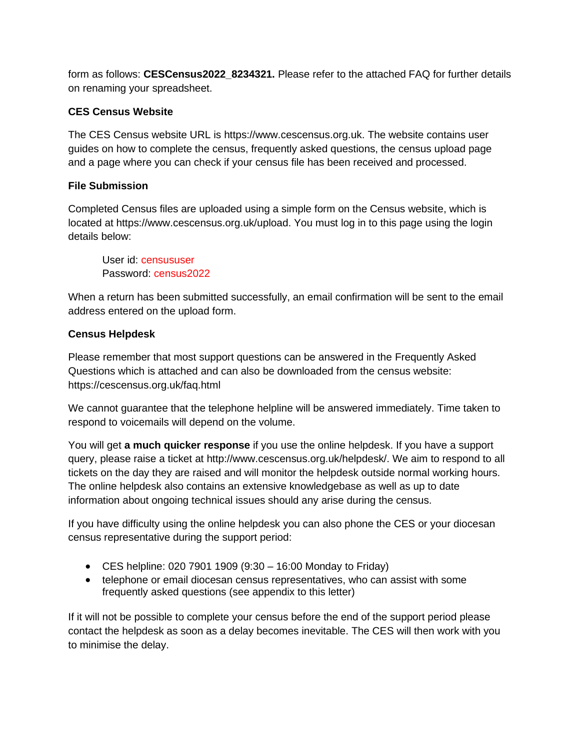form as follows: **CESCensus2022\_8234321.** Please refer to the attached FAQ for further details on renaming your spreadsheet.

## **CES Census Website**

The CES Census website URL is https://www.cescensus.org.uk. The website contains user guides on how to complete the census, frequently asked questions, the census upload page and a page where you can check if your census file has been received and processed.

## **File Submission**

Completed Census files are uploaded using a simple form on the Census website, which is located at https://www.cescensus.org.uk/upload. You must log in to this page using the login details below:

User id: censususer Password: census2022

When a return has been submitted successfully, an email confirmation will be sent to the email address entered on the upload form.

## **Census Helpdesk**

Please remember that most support questions can be answered in the Frequently Asked Questions which is attached and can also be downloaded from the census website: https://cescensus.org.uk/faq.html

We cannot guarantee that the telephone helpline will be answered immediately. Time taken to respond to voicemails will depend on the volume.

You will get **a much quicker response** if you use the online helpdesk. If you have a support query, please raise a ticket at http://www.cescensus.org.uk/helpdesk/. We aim to respond to all tickets on the day they are raised and will monitor the helpdesk outside normal working hours. The online helpdesk also contains an extensive knowledgebase as well as up to date information about ongoing technical issues should any arise during the census.

If you have difficulty using the online helpdesk you can also phone the CES or your diocesan census representative during the support period:

- CES helpline: 020 7901 1909  $(9:30 16:00$  Monday to Friday)
- telephone or email diocesan census representatives, who can assist with some frequently asked questions (see appendix to this letter)

If it will not be possible to complete your census before the end of the support period please contact the helpdesk as soon as a delay becomes inevitable. The CES will then work with you to minimise the delay.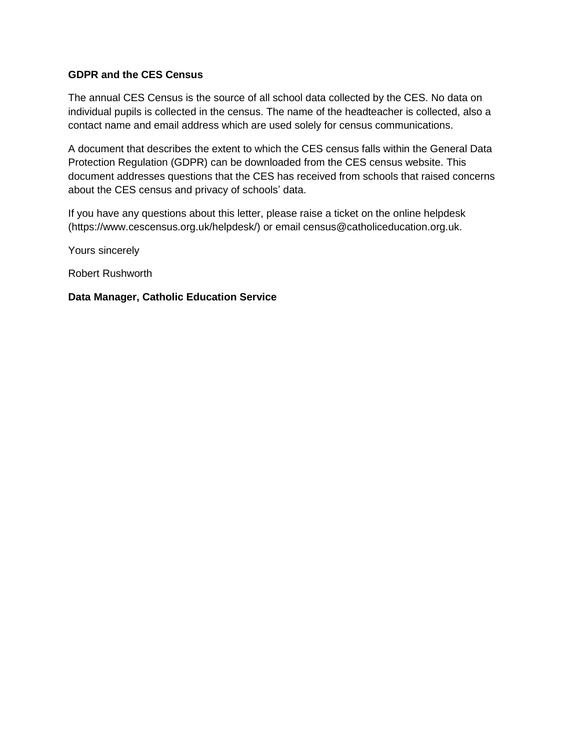## **GDPR and the CES Census**

The annual CES Census is the source of all school data collected by the CES. No data on individual pupils is collected in the census. The name of the headteacher is collected, also a contact name and email address which are used solely for census communications.

A document that describes the extent to which the CES census falls within the General Data Protection Regulation (GDPR) can be downloaded from the CES census website. This document addresses questions that the CES has received from schools that raised concerns about the CES census and privacy of schools' data.

If you have any questions about this letter, please raise a ticket on the online helpdesk (https://www.cescensus.org.uk/helpdesk/) or email census@catholiceducation.org.uk.

Yours sincerely

Robert Rushworth

#### **Data Manager, Catholic Education Service**